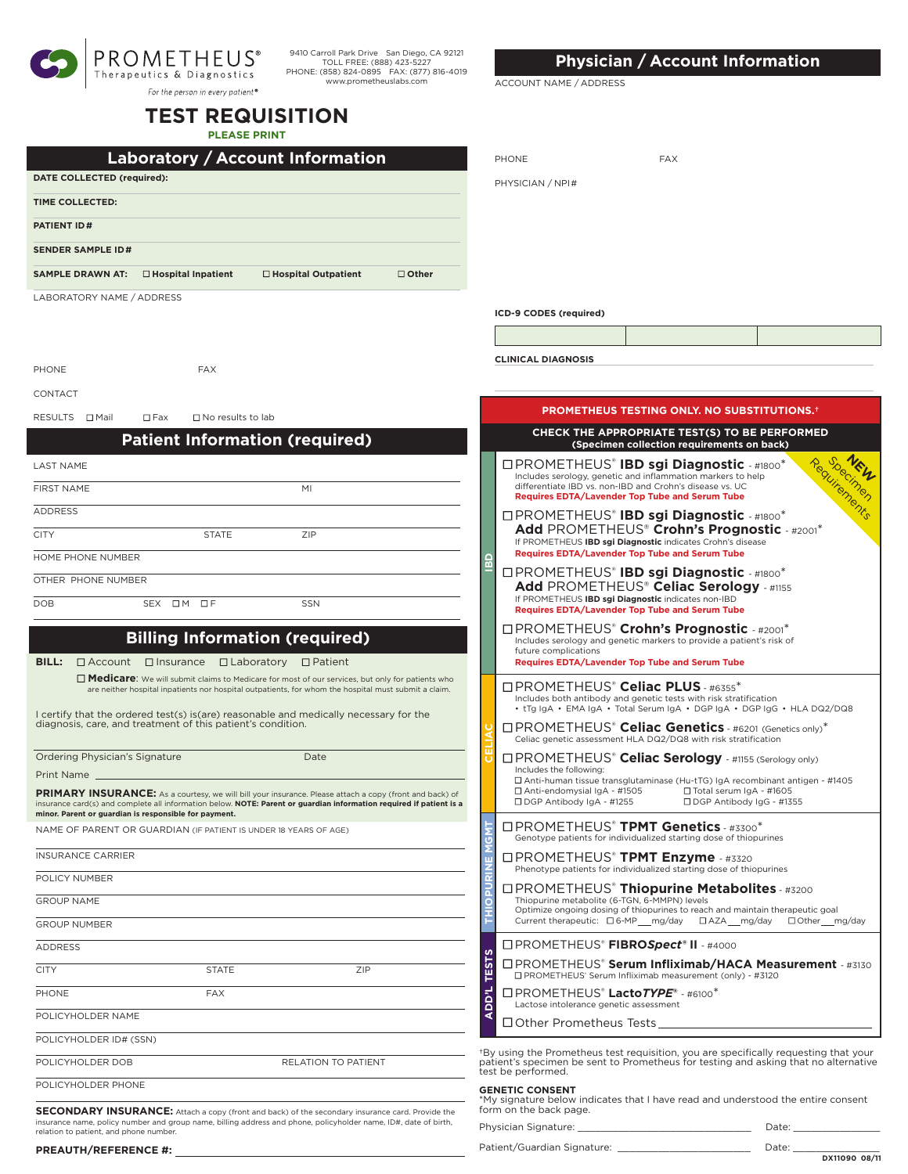| <b>PROMETHEUS®</b><br>Therapeutics & Diagnostics |
|--------------------------------------------------|
| For the person in every patient®                 |

9410 Carroll Park Drive San Diego, CA 92121 TOLL FREE: (888) 423-5227 PHONE: (858) 824-0895 FAX: (877) 816-4019 www.prometheuslabs.com

# **TEST REQUISITION**

**PLEASE PRINT**

| Laboratory / Account Information |                           |                            |              |  |  |  |
|----------------------------------|---------------------------|----------------------------|--------------|--|--|--|
| DATE COLLECTED (required):       |                           |                            |              |  |  |  |
| TIME COLLECTED:                  |                           |                            |              |  |  |  |
| <b>PATIENT ID#</b>               |                           |                            |              |  |  |  |
| <b>SENDER SAMPLE ID#</b>         |                           |                            |              |  |  |  |
| <b>SAMPLE DRAWN AT:</b>          | $\Box$ Hospital Inpatient | $\Box$ Hospital Outpatient | $\Box$ Other |  |  |  |
| LABORATORY NAME / ADDRESS        |                           |                            |              |  |  |  |
|                                  |                           |                            |              |  |  |  |
|                                  |                           |                            |              |  |  |  |
| PHONE                            | <b>FAX</b>                |                            |              |  |  |  |

#### CONTACT

RESULTS  $\Box$  Mail  $\Box$  Fax  $\Box$  No results to lab

# **Patient Information (required)**

| <b>LAST NAME</b>   |           |              |     |
|--------------------|-----------|--------------|-----|
| <b>FIRST NAME</b>  |           |              | MI  |
| <b>ADDRESS</b>     |           |              |     |
| <b>CITY</b>        |           | <b>STATE</b> | ZIP |
| HOME PHONE NUMBER  |           |              |     |
| OTHER PHONE NUMBER |           |              |     |
| <b>DOB</b>         | SEX OM OF |              | SSN |

# **Billing Information (required)**

### **BILL:** □ Account □ Insurance □ Laboratory □ Patient

■ **Medicare**: We will submit claims to Medicare for most of our services, but only for patients who are neither hospital inpatients nor hospital outpatients, for whom the hospital must submit a claim.

I certify that the ordered test(s) is(are) reasonable and medically necessary for the diagnosis, care, and treatment of this patient's condition.

| Ordering Physician's Signature | Date |
|--------------------------------|------|
|                                |      |

PRIMARY INSURANCE: As a courtesy, we will bill your insurance. Please attach a copy (front and back) of insurance card(s) and complete all information below. **NOTE: Parent or guardian information required if patient is a minor. Parent or guardian is responsible for payment.**

NAME OF PARENT OR GUARDIAN (IF PATIENT IS UNDER 18 YEARS OF AGE)

| <b>INSURANCE CARRIER</b> |              |                     |  |
|--------------------------|--------------|---------------------|--|
| POLICY NUMBER            |              |                     |  |
| <b>GROUP NAME</b>        |              |                     |  |
| <b>GROUP NUMBER</b>      |              |                     |  |
| <b>ADDRESS</b>           |              |                     |  |
| <b>CITY</b>              | <b>STATE</b> | ZIP                 |  |
| PHONE                    | <b>FAX</b>   |                     |  |
| POLICYHOLDER NAME        |              |                     |  |
| POLICYHOLDER ID# (SSN)   |              |                     |  |
| POLICYHOLDER DOB         |              | RELATION TO PATIENT |  |
| POLICYHOLDER PHONE       |              |                     |  |

**SECONDARY INSURANCE:** Attach a copy (front and back) of the secondary insurance card. Provide the insurance name, policy number and group name, billing address and phone, policyholder name, ID#, date of birth, relation to patient, and phone number.

# **Physician / Account Information**

ACCOUNT NAME / ADDRESS

| PHONE            | <b>FAX</b> |  |
|------------------|------------|--|
| PHYSICIAN / NPI# |            |  |
|                  |            |  |

**ICD-9 CODES (required)**

**CLINICAL DIAGNOSIS**

|              | PROMETHEUS TESTING ONLY. NO SUBSTITUTIONS. <sup>+</sup>                                                                                                                                                                                                                                                 |
|--------------|---------------------------------------------------------------------------------------------------------------------------------------------------------------------------------------------------------------------------------------------------------------------------------------------------------|
|              | CHECK THE APPROPRIATE TEST(S) TO BE PERFORMED<br>(Specimen collection requirements on back)                                                                                                                                                                                                             |
| 읎            | Regular Press<br><b>OPROMETHEUS<sup>®</sup> IBD sgi Diagnostic + #1800<sup>*</sup></b><br>Includes serology, genetic and inflammation markers to help<br>differentiate IBD vs. non-IBD and Crohn's disease vs. UC<br>Requires EDTA/Lavender Top Tube and Serum Tube                                     |
|              | <b>IPROMETHEUS® IBD sgi Diagnostic - #1800*</b><br>Add PROMETHEUS® Crohn's Prognostic - #2001*<br>If PROMETHEUS IBD sgi Diagnostic indicates Crohn's disease<br>Requires EDTA/Lavender Top Tube and Serum Tube                                                                                          |
|              | <b>IPROMETHEUS® IBD sgi Diagnostic - #1800*</b><br>Add PROMETHEUS® Celiac Serology - #1155<br>If PROMETHEUS IBD sgi Diagnostic indicates non-IBD<br>Requires EDTA/Lavender Top Tube and Serum Tube                                                                                                      |
|              | <b>OPROMETHEUS<sup>®</sup> Crohn's Prognostic - #2001*</b><br>Includes serology and genetic markers to provide a patient's risk of<br>future complications<br>Requires EDTA/Lavender Top Tube and Serum Tube                                                                                            |
|              | □PROMETHEUS <sup>®</sup> Celiac PLUS - #6355 <sup>*</sup><br>Includes both antibody and genetic tests with risk stratification<br>• tTg IgA • EMA IgA • Total Serum IgA • DGP IgA • DGP IgG • HLA DQ2/DQ8                                                                                               |
|              | □ PROMETHEUS <sup>®</sup> Celiac Genetics - #6201 (Genetics only) <sup>*</sup><br>Celiac genetic assessment HLA DQ2/DQ8 with risk stratification                                                                                                                                                        |
|              | □ PROMETHEUS <sup>®</sup> Celiac Serology - #1155 (Serology only)<br>Includes the following:<br>□ Anti-human tissue transglutaminase (Hu-tTG) lgA recombinant antigen - #1405<br>□ Anti-endomysial IgA - #1505<br>□ Total serum IgA - #1605<br>□ DGP Antibody IgA - #1255<br>□ DGP Antibody IgG - #1355 |
| <b>MSN</b>   | □PROMETHEUS <sup>®</sup> TPMT Genetics - #3300 <sup>*</sup><br>Genotype patients for individualized starting dose of thiopurines                                                                                                                                                                        |
|              | □PROMETHEUS <sup>®</sup> TPMT Enzyme - #3320<br>Phenotype patients for individualized starting dose of thiopurines                                                                                                                                                                                      |
|              | □PROMETHEUS <sup>®</sup> Thiopurine Metabolites - #3200<br>Thiopurine metabolite (6-TGN, 6-MMPN) levels<br>Optimize ongoing dosing of thiopurines to reach and maintain therapeutic goal<br>Current therapeutic: □ 6-MP___ mg/day □ AZA__ mg/day<br>□ Other mg/day                                      |
|              | □ PROMETHEUS <sup>®</sup> FIBROSpect® II - #4000                                                                                                                                                                                                                                                        |
| <b>TESTS</b> | □PROMETHEUS® Serum Infliximab/HACA Measurement - #3130<br>□ PROMETHEUS' Serum Infliximab measurement (only) - #3120                                                                                                                                                                                     |
| <b>ADD'L</b> | $\Box$ PROMETHEUS <sup>®</sup> Lacto <i>TYPE</i> ® - #6100 <sup>*</sup><br>Lactose intolerance genetic assessment                                                                                                                                                                                       |
|              | □ Other Prometheus Tests                                                                                                                                                                                                                                                                                |
|              | *By using the Prometheus test requisition, you are specifically requesting that your<br>patient's specimen be sent to Prometheus for testing and asking that no alternative<br>test be performed.                                                                                                       |
|              | <b>GENETIC CONSENT</b><br>*My signature below indicates that I have read and understood the entire consent<br>form on the back page.                                                                                                                                                                    |
|              | Physician Signature:<br>Date:                                                                                                                                                                                                                                                                           |
|              | Patient/Guardian Signature:<br>Date:                                                                                                                                                                                                                                                                    |

**DX11090 08/11**